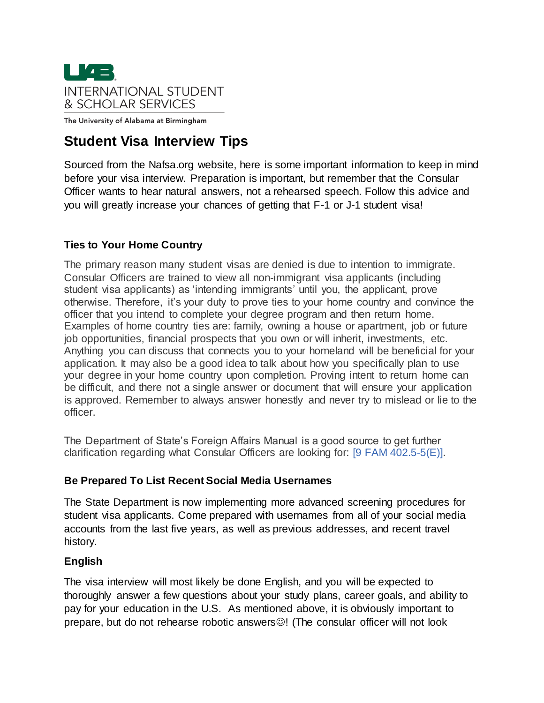

# **Student Visa Interview Tips**

Sourced from the Nafsa.org website, here is some important information to keep in mind before your visa interview. Preparation is important, but remember that the Consular Officer wants to hear natural answers, not a rehearsed speech. Follow this advice and you will greatly increase your chances of getting that F-1 or J-1 student visa!

## **Ties to Your Home Country**

The primary reason many student visas are denied is due to intention to immigrate. Consular Officers are trained to view all non-immigrant visa applicants (including student visa applicants) as 'intending immigrants' until you, the applicant, prove otherwise. Therefore, it's your duty to prove ties to your home country and convince the officer that you intend to complete your degree program and then return home. Examples of home country ties are: family, owning a house or apartment, job or future job opportunities, financial prospects that you own or will inherit, investments, etc. Anything you can discuss that connects you to your homeland will be beneficial for your application. It may also be a good idea to talk about how you specifically plan to use your degree in your home country upon completion. Proving intent to return home can be difficult, and there not a single answer or document that will ensure your application is approved. Remember to always answer honestly and never try to mislead or lie to the officer.

The Department of State's Foreign Affairs Manual is a good source to get further clarification regarding what Consular Officers are looking for: [\[9 FAM 402.5-5\(E\)\].](https://fam.state.gov/fam/09FAM/09FAM040205.html#M402_5_5_E)

## **Be Prepared To List Recent Social Media Usernames**

The State Department is now implementing more advanced screening procedures for student visa applicants. Come prepared with usernames from all of your social media accounts from the last five years, as well as previous addresses, and recent travel history.

#### **English**

The visa interview will most likely be done English, and you will be expected to thoroughly answer a few questions about your study plans, career goals, and ability to pay for your education in the U.S. As mentioned above, it is obviously important to prepare, but do not rehearse robotic answers $\odot$ ! (The consular officer will not look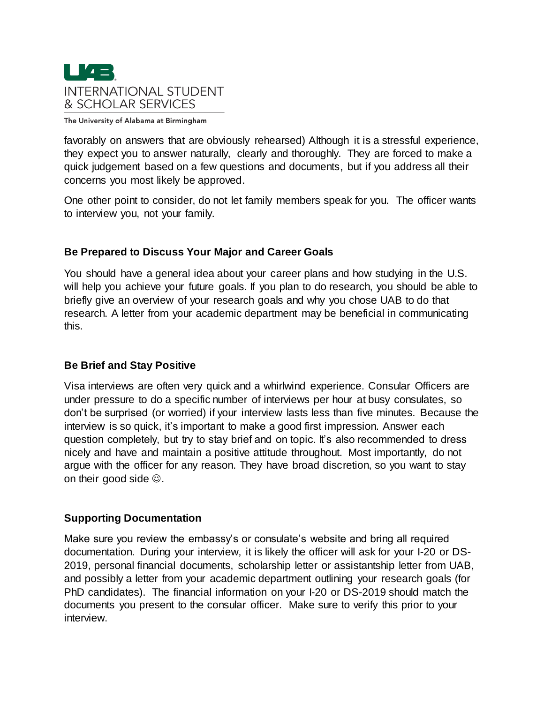

favorably on answers that are obviously rehearsed) Although it is a stressful experience, they expect you to answer naturally, clearly and thoroughly. They are forced to make a quick judgement based on a few questions and documents, but if you address all their concerns you most likely be approved.

One other point to consider, do not let family members speak for you. The officer wants to interview you, not your family.

### **Be Prepared to Discuss Your Major and Career Goals**

You should have a general idea about your career plans and how studying in the U.S. will help you achieve your future goals. If you plan to do research, you should be able to briefly give an overview of your research goals and why you chose UAB to do that research. A letter from your academic department may be beneficial in communicating this.

#### **Be Brief and Stay Positive**

Visa interviews are often very quick and a whirlwind experience. Consular Officers are under pressure to do a specific number of interviews per hour at busy consulates, so don't be surprised (or worried) if your interview lasts less than five minutes. Because the interview is so quick, it's important to make a good first impression. Answer each question completely, but try to stay brief and on topic. It's also recommended to dress nicely and have and maintain a positive attitude throughout. Most importantly, do not argue with the officer for any reason. They have broad discretion, so you want to stay on their good side  $\odot$ .

#### **Supporting Documentation**

Make sure you review the embassy's or consulate's website and bring all required documentation. During your interview, it is likely the officer will ask for your I-20 or DS-2019, personal financial documents, scholarship letter or assistantship letter from UAB, and possibly a letter from your academic department outlining your research goals (for PhD candidates). The financial information on your I-20 or DS-2019 should match the documents you present to the consular officer. Make sure to verify this prior to your interview.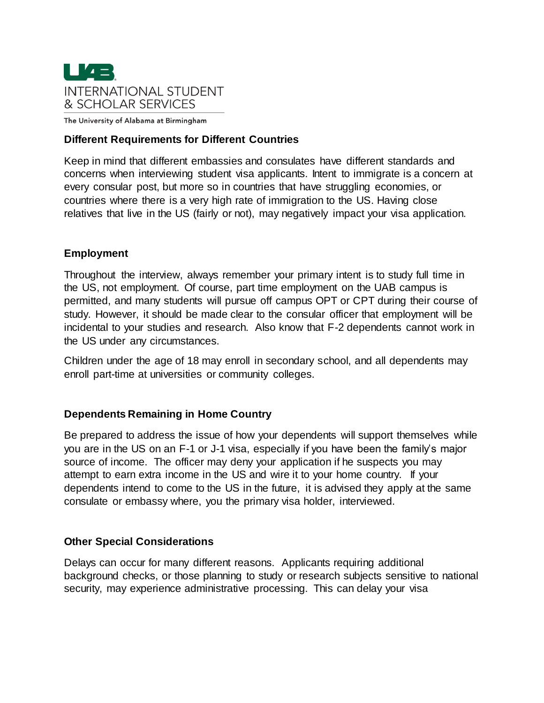

#### **Different Requirements for Different Countries**

Keep in mind that different embassies and consulates have different standards and concerns when interviewing student visa applicants. Intent to immigrate is a concern at every consular post, but more so in countries that have struggling economies, or countries where there is a very high rate of immigration to the US. Having close relatives that live in the US (fairly or not), may negatively impact your visa application.

#### **Employment**

Throughout the interview, always remember your primary intent is to study full time in the US, not employment. Of course, part time employment on the UAB campus is permitted, and many students will pursue off campus OPT or CPT during their course of study. However, it should be made clear to the consular officer that employment will be incidental to your studies and research. Also know that F-2 dependents cannot work in the US under any circumstances.

Children under the age of 18 may enroll in secondary school, and all dependents may enroll part-time at universities or community colleges.

#### **Dependents Remaining in Home Country**

Be prepared to address the issue of how your dependents will support themselves while you are in the US on an F-1 or J-1 visa, especially if you have been the family's major source of income. The officer may deny your application if he suspects you may attempt to earn extra income in the US and wire it to your home country. If your dependents intend to come to the US in the future, it is advised they apply at the same consulate or embassy where, you the primary visa holder, interviewed.

#### **Other Special Considerations**

Delays can occur for many different reasons. Applicants requiring additional background checks, or those planning to study or research subjects sensitive to national security, may experience administrative processing. This can delay your visa